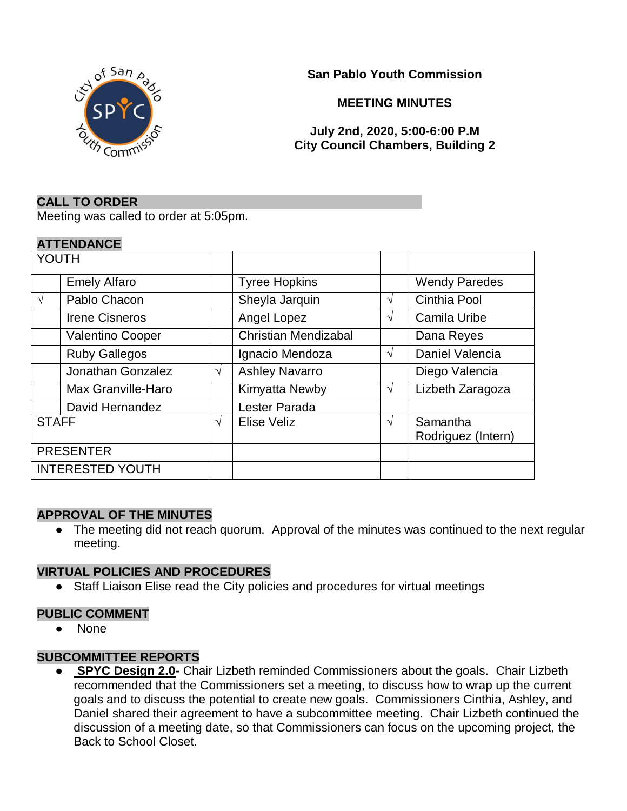



#### **MEETING MINUTES**

## **July 2nd, 2020, 5:00-6:00 P.M City Council Chambers, Building 2**

#### **CALL TO ORDER**

Meeting was called to order at 5:05pm.

#### **ATTENDANCE**

| YOUTH                   |                         |   |                             |   |                                |
|-------------------------|-------------------------|---|-----------------------------|---|--------------------------------|
|                         | <b>Emely Alfaro</b>     |   | <b>Tyree Hopkins</b>        |   | <b>Wendy Paredes</b>           |
| $\sqrt{ }$              | Pablo Chacon            |   | Sheyla Jarquin              | V | Cinthia Pool                   |
|                         | <b>Irene Cisneros</b>   |   | Angel Lopez                 | V | <b>Camila Uribe</b>            |
|                         | <b>Valentino Cooper</b> |   | <b>Christian Mendizabal</b> |   | Dana Reyes                     |
|                         | <b>Ruby Gallegos</b>    |   | Ignacio Mendoza             | V | Daniel Valencia                |
|                         | Jonathan Gonzalez       | V | <b>Ashley Navarro</b>       |   | Diego Valencia                 |
|                         | Max Granville-Haro      |   | Kimyatta Newby              | V | Lizbeth Zaragoza               |
|                         | David Hernandez         |   | Lester Parada               |   |                                |
| <b>STAFF</b>            |                         | V | Elise Veliz                 | V | Samantha<br>Rodriguez (Intern) |
| <b>PRESENTER</b>        |                         |   |                             |   |                                |
| <b>INTERESTED YOUTH</b> |                         |   |                             |   |                                |

#### **APPROVAL OF THE MINUTES**

• The meeting did not reach quorum. Approval of the minutes was continued to the next regular meeting.

#### **VIRTUAL POLICIES AND PROCEDURES**

● Staff Liaison Elise read the City policies and procedures for virtual meetings

## **PUBLIC COMMENT**

● None

## **SUBCOMMITTEE REPORTS**

● **SPYC Design 2.0-** Chair Lizbeth reminded Commissioners about the goals. Chair Lizbeth recommended that the Commissioners set a meeting, to discuss how to wrap up the current goals and to discuss the potential to create new goals. Commissioners Cinthia, Ashley, and Daniel shared their agreement to have a subcommittee meeting. Chair Lizbeth continued the discussion of a meeting date, so that Commissioners can focus on the upcoming project, the Back to School Closet.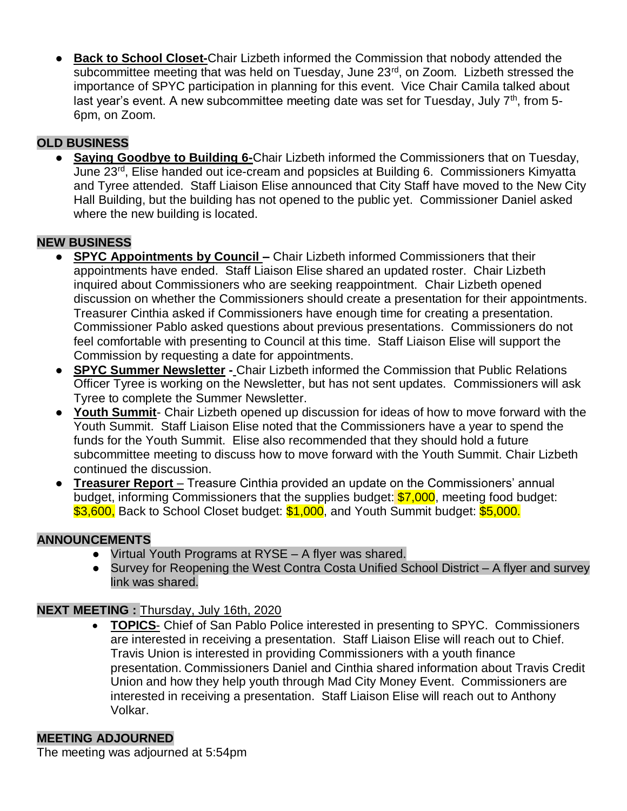● **Back to School Closet-**Chair Lizbeth informed the Commission that nobody attended the subcommittee meeting that was held on Tuesday, June 23<sup>rd</sup>, on Zoom. Lizbeth stressed the importance of SPYC participation in planning for this event. Vice Chair Camila talked about last year's event. A new subcommittee meeting date was set for Tuesday, July  $7<sup>th</sup>$ , from 5-6pm, on Zoom.

# **OLD BUSINESS**

**Saying Goodbye to Building 6-Chair Lizbeth informed the Commissioners that on Tuesday,** June 23rd, Elise handed out ice-cream and popsicles at Building 6. Commissioners Kimyatta and Tyree attended. Staff Liaison Elise announced that City Staff have moved to the New City Hall Building, but the building has not opened to the public yet. Commissioner Daniel asked where the new building is located.

## **NEW BUSINESS**

- **SPYC Appointments by Council –** Chair Lizbeth informed Commissioners that their appointments have ended. Staff Liaison Elise shared an updated roster. Chair Lizbeth inquired about Commissioners who are seeking reappointment. Chair Lizbeth opened discussion on whether the Commissioners should create a presentation for their appointments. Treasurer Cinthia asked if Commissioners have enough time for creating a presentation. Commissioner Pablo asked questions about previous presentations. Commissioners do not feel comfortable with presenting to Council at this time. Staff Liaison Elise will support the Commission by requesting a date for appointments.
- **SPYC Summer Newsletter -** Chair Lizbeth informed the Commission that Public Relations Officer Tyree is working on the Newsletter, but has not sent updates. Commissioners will ask Tyree to complete the Summer Newsletter.
- **Youth Summit** Chair Lizbeth opened up discussion for ideas of how to move forward with the Youth Summit. Staff Liaison Elise noted that the Commissioners have a year to spend the funds for the Youth Summit. Elise also recommended that they should hold a future subcommittee meeting to discuss how to move forward with the Youth Summit. Chair Lizbeth continued the discussion.
- **Treasurer Report** Treasure Cinthia provided an update on the Commissioners' annual budget, informing Commissioners that the supplies budget:  $$7,000$ , meeting food budget: \$3,600, Back to School Closet budget: \$1,000, and Youth Summit budget: \$5,000.

## **ANNOUNCEMENTS**

- Virtual Youth Programs at RYSE A flyer was shared.
- Survey for Reopening the West Contra Costa Unified School District A flyer and survey link was shared.

## **NEXT MEETING :** Thursday, July 16th, 2020

• **TOPICS**- Chief of San Pablo Police interested in presenting to SPYC. Commissioners are interested in receiving a presentation. Staff Liaison Elise will reach out to Chief. Travis Union is interested in providing Commissioners with a youth finance presentation. Commissioners Daniel and Cinthia shared information about Travis Credit Union and how they help youth through Mad City Money Event. Commissioners are interested in receiving a presentation. Staff Liaison Elise will reach out to Anthony Volkar.

## **MEETING ADJOURNED**

The meeting was adjourned at 5:54pm